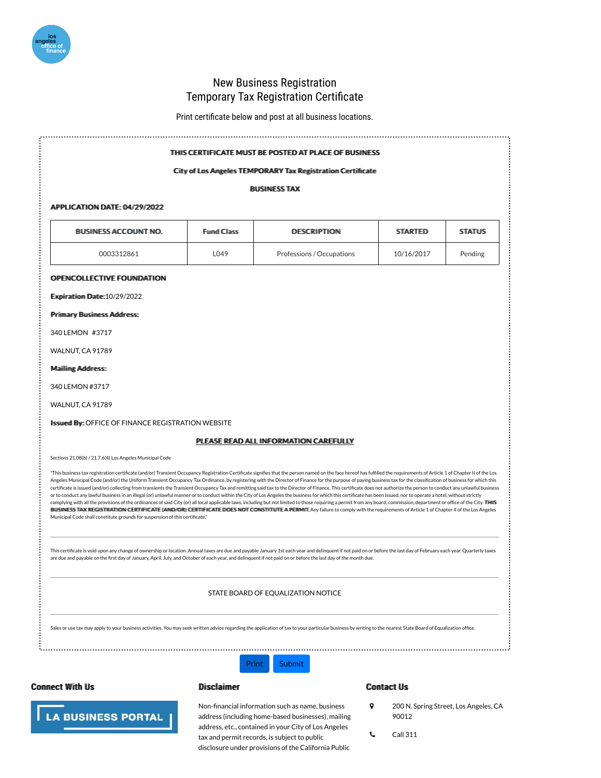# **New Business Registration Temporary Tax Registration Certificate**

Print certificate below and post at all business locations.

# THIS CERTIFICATE MUST BE POSTED AT PLACE OF BUSINESS

#### Citty of Los Angelles TEMPORARY Tax Registratiion Certiificate

#### **BUSINESS TAX**

### APPLICATION DATE: 04/29/2022

| BUSINESS ACCOUNT NO. | <b>Fund Class</b> | DESCRIPTION               | <b>STARTED</b> | <b>STATUS</b> |  |
|----------------------|-------------------|---------------------------|----------------|---------------|--|
| 0003312861           | L049              | Professions / Occupations | 10/16/2017     | Pending       |  |

#### **OPENCOLLECTIVE FOUNDATION**

Expiiratiiom Date: 10/29/2022

**Priimary Busiiness Address:** 

340 LEMON #3717

WALNUT, CA 91789

## Maiilling Address:

340 LEMON #3717

WALNUT, CA 91789

**Ilssured By: OFFICE OF FINANCE REGISTRATION WEBSITE** 

# PLEASE READ ALL INFORMATION CAREFULLY

Sections 21.08(b) / 21.7.6(4) Los Angeles Municipal Code

"This business tax registration certificate (and/or) Transient Occupancy Registration Certificate signifies that the person named on the face hereof has fulfilled the requirements of Article 1 of Chapter II of the Los Angeles Municipal Code (and/or) the Uniform Transient Occupancy Tax Ordinance, by registering with the Director of Finance for the purpose of paying business tax for the classification of business for which this certificate is issued (and/or) collecting from transients the Transient Occupancy Tax and remitting said tax to the Director of Finance. This certificate does not authorize the person to conduct any unlawful business or to conduct any lawful business in an illegal (or) unlawful manner or to conduct within the City of Los Angeles the business for which this certificate has been issued, nor to operate a hotel, without strictly complying with all the provisions of the ordinances of said City (or) all local applicable laws, including but not limited to those requiring a permit from any board, commission, department or office of the City. THHIS BULSINIESS TAX REGISTRATION CERTIFICATE ((AND/OR) CERTIFICATE DOES NOT CONSTITUTE A PERMIT. Any failure to comply with the requirements of Article 1 of Chapter II of the Los Angeles Municipal Code shall constitute grounds for suspension of this certificate."

This certificate is void upon any change of ownership or location. Annual taxes are due and payable January 1st each year and delinguent if not paid on or before the last day of February each year. Quarterly taxes are due and payable on the first day of January, April, July, and October of each year, and delinquent if not paid on or before the last day of the month due.

STATE BOARD OF EQUALIZATION NOTICE

**Submit** 

Sales or use tax may apply to your business activities. You may seek written advice regarding the application of tax to your particular business by writing to the nearest State Board of Equalization office.

Print



**LA BUSINESS PORTAL** 

## **Disclaimer**

## **Contact Us**

- $\circ$ 200 N. Spring Street, Los Angeles, CA 90012
- **Call 311** L
- address, etc., contained in your City of Los Angeles tax and permit records, is subject to public disclosure under provisions of the California Public

Non-financial information such as name, business

address (including home-based businesses), mailing